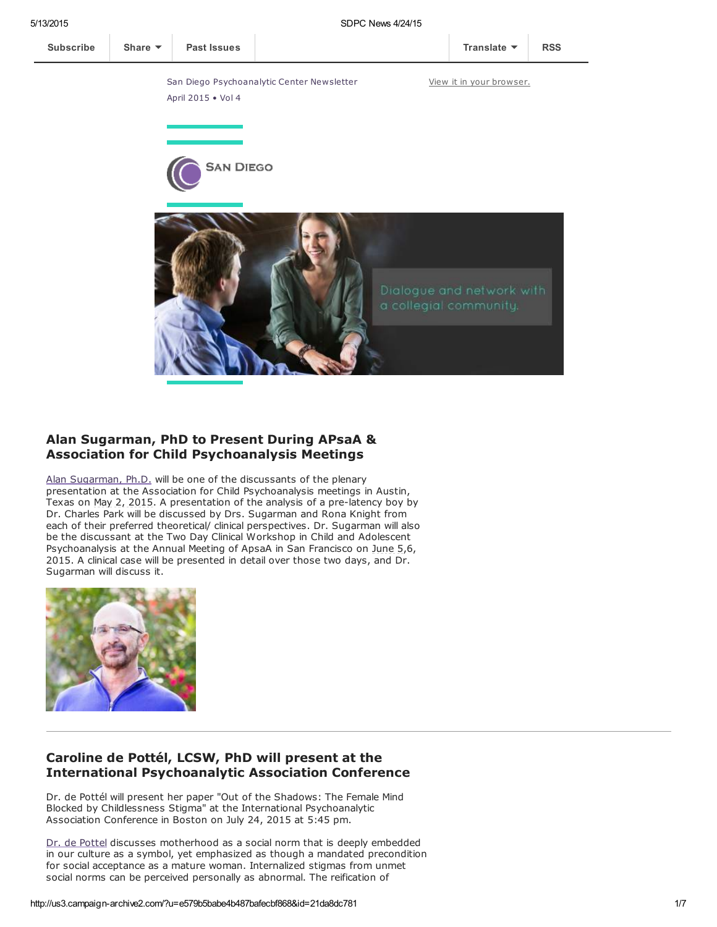a collegial community.



## Alan Sugarman, PhD to Present During APsaA & Association for Child Psychoanalysis Meetings

Alan [Sugarman,](http://www.sdpsychoanalyticcenter.org/members/profiles/38#profile-main) Ph.D. will be one of the discussants of the plenary presentation at the Association for Child Psychoanalysis meetings in Austin, Texas on  $\text{May } 2, 2015$ . A presentation of the analysis of a pre-latency boy by Dr. Charles Park will be discussed by Drs. Sugarman and Rona Knight from each of their preferred theoretical/ clinical perspectives. Dr. Sugarman will also be the discussant at the Two Day Clinical Workshop in Child and Adolescent Psychoanalysis at the Annual Meeting of ApsaA in San Francisco on June 5,6, 2015. A clinical case will be presented in detail over those two days, and Dr. Sugarman will discuss it.



#### Caroline de Pottél, LCSW, PhD will present at the International Psychoanalytic Association Conference

Dr. de Pottél will present her paper "Out of the Shadows: The Female Mind Blocked by Childlessness Stigma" at the International Psychoanalytic Association Conference in Boston on July 24, 2015 at 5:45 pm.

Dr. de [Pottel](http://www.sdpsychoanalyticcenter.org/members/profiles/12#profile-main) discusses motherhood as a social norm that is deeply embedded in our culture as a symbol, yet emphasized as though a mandated precondition for social acceptance as a mature woman. Internalized stigmas from unmet social norms can be perceived personally as abnormal. The reification of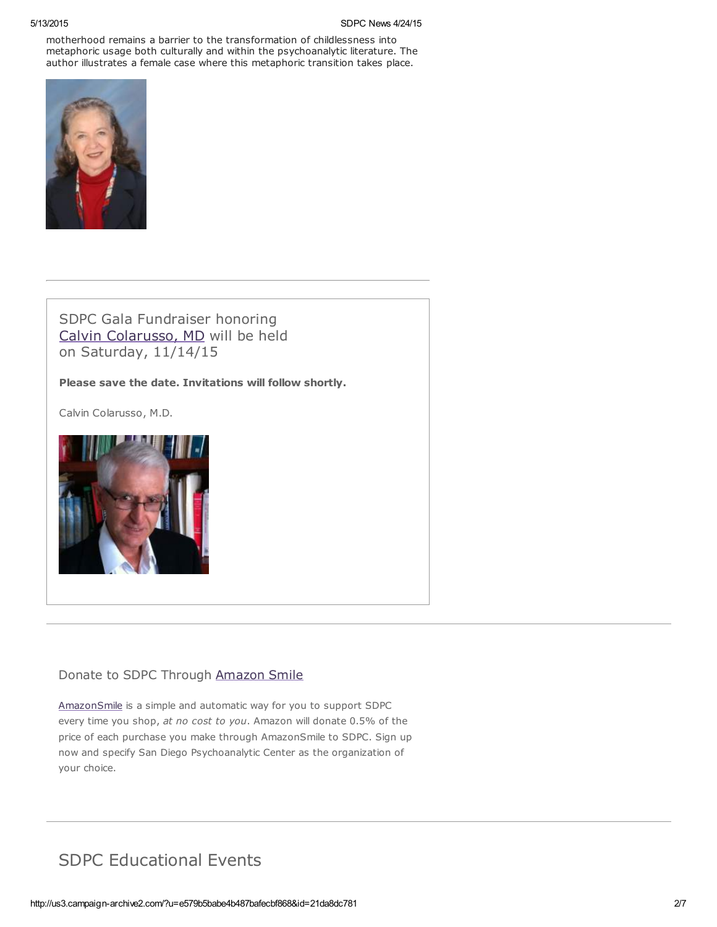motherhood remains a barrier to the transformation of childlessness into metaphoric usage both culturally and within the psychoanalytic literature. The author illustrates a female case where this metaphoric transition takes place.



SDPC Gala Fundraiser honoring Calvin [Colarusso,](http://www.sdpsychoanalyticcenter.org/members/profiles/20#profile-main) MD will be held on Saturday, 11/14/15

Please save the date. Invitations will follow shortly.

Calvin Colarusso, M.D.



## Donate to SDPC Through [Amazon](http://www.sdpsychoanalyticcenter.org/node/395#overlay-context=node/395) Smile

[AmazonSmile](http://smile.amazon.com/about) is a simple and automatic way for you to support SDPC every time you shop, at no cost to you. Amazon will donate 0.5% of the price of each purchase you make through AmazonSmile to SDPC. Sign up now and specify San Diego Psychoanalytic Center as the organization of your choice.

# SDPC Educational Events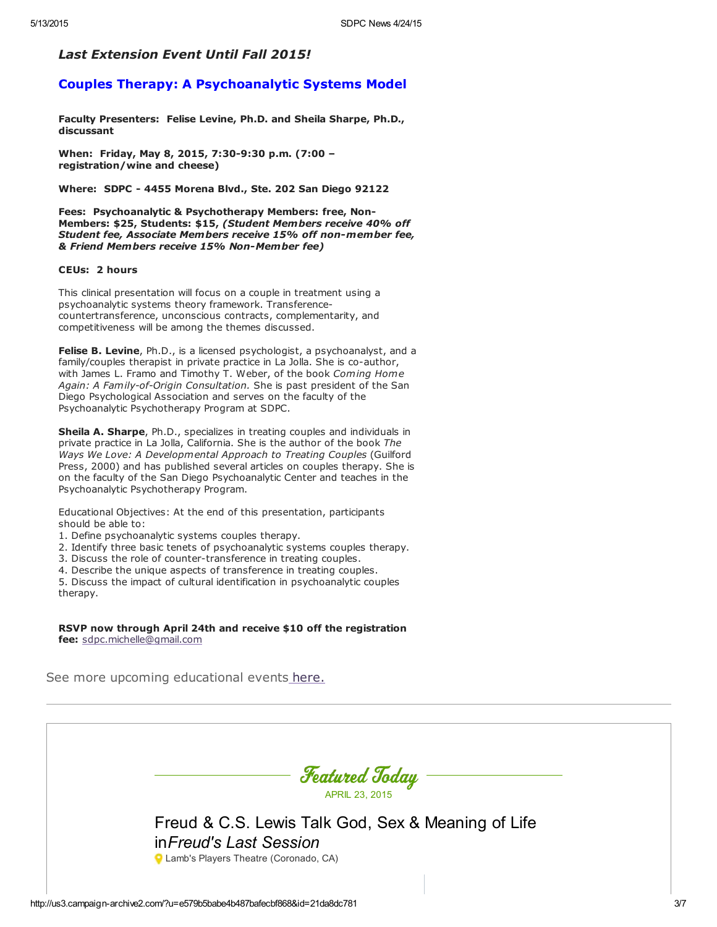#### Last Extension Event Until Fall 2015!

### Couples Therapy: A Psychoanalytic Systems Model

Faculty Presenters: Felise Levine, Ph.D. and Sheila Sharpe, Ph.D., discussant

When: Friday, May 8, 2015, 7:30-9:30 p.m. (7:00 – registration/wine and cheese)

Where: SDPC - 4455 Morena Blvd., Ste. 202 San Diego 92122

Fees: Psychoanalytic & Psychotherapy Members: free, Non- Members: \$25, Students: \$15, (Student Members receive 40% off Student fee, Associate Members receive 15% off non-member fee, & Friend Members receive 15% Non-Member fee)

#### CEUs: 2 hours

This clinical presentation will focus on a couple in treatment using a psychoanalytic systems theory framework. Transferencecountertransference, unconscious contracts, complementarity, and competitiveness will be among the themes discussed.

Felise B. Levine, Ph.D., is a licensed psychologist, a psychoanalyst, and a family/couples therapist in private practice in La Jolla. She is co-author, with James L. Framo and Timothy T. Weber, of the book Coming Home Again: A Family-of-Origin Consultation. She is past president of the San Diego Psychological Association and serves on the faculty of the Psychoanalytic Psychotherapy Program at SDPC.

Sheila A. Sharpe, Ph.D., specializes in treating couples and individuals in private practice in La Jolla, California. She is the author of the book The Ways We Love: A Developmental Approach to Treating Couples (Guilford Press, 2000) and has published several articles on couples therapy. She is on the faculty of the San Diego Psychoanalytic Center and teaches in the Psychoanalytic Psychotherapy Program.

Educational Objectives: At the end of this presentation, participants should be able to:

- 1. Define psychoanalytic systems couples therapy.
- 2. Identify three basic tenets of psychoanalytic systems couples therapy.
- 3. Discuss the role of counter-transference in treating couples.
- 4. Describe the unique aspects of transference in treating couples.

5. Discuss the impact of cultural identification in psychoanalytic couples therapy.

RSVP now through April 24th and receive \$10 off the registration fee: [sdpc.michelle@gmail.com](mailto:sdpc.michelle@gmail.com)

See more upcoming educational events [here.](http://www.sdpsychoanalyticcenter.org/community-connections/upcoming-events)

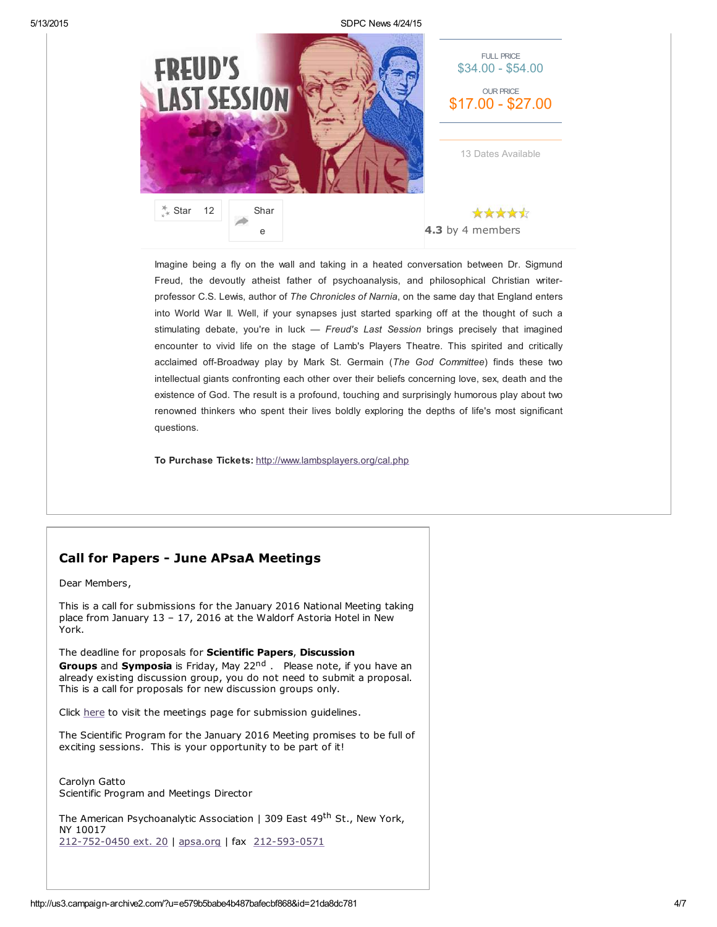5/13/2015 SDPC News 4/24/15



Imagine being a fly on the wall and taking in a heated conversation between Dr. Sigmund Freud, the devoutly atheist father of psychoanalysis, and philosophical Christian writerprofessor C.S. Lewis, author of The Chronicles of Narnia, on the same day that England enters into World War II. Well, if your synapses just started sparking off at the thought of such a stimulating debate, you're in luck — Freud's Last Session brings precisely that imagined encounter to vivid life on the stage of Lamb's Players Theatre. This spirited and critically acclaimed off-Broadway play by Mark St. Germain (The God Committee) finds these two intellectual giants confronting each other over their beliefs concerning love, sex, death and the existence of God. The result is a profound, touching and surprisingly humorous play about two renowned thinkers who spent their lives boldly exploring the depths of life's most significant questions.

To Purchase Tickets: <http://www.lambsplayers.org/cal.php>

## Call for Papers - June APsaA Meetings

Dear Members,

This is a call for submissions for the January 2016 National Meeting taking place from January 13 – 17, 2016 at the Waldorf Astoria Hotel in New York.

The deadline for proposals for Scientific Papers, Discussion Groups and Symposia is Friday, May 22<sup>nd</sup> . Please note, if you have an already existing discussion group, you do not need to submit a proposal. This is a call for proposals for new discussion groups only.

Click [here](http://www.apsa.org/submission-guidelines) to visit the meetings page for submission guidelines.

The Scientific Program for the January 2016 Meeting promises to be full of exciting sessions. This is your opportunity to be part of it!

Carolyn Gatto Scientific Program and Meetings Director

The American Psychoanalytic Association | 309 East 49<sup>th</sup> St., New York, NY 10017 [212-752-0450](tel:212-752-0450%20ext.%2020) ext. 20 | [apsa.org](http://www.apsa.org/) | fax [212-593-0571](tel:212-593-0571)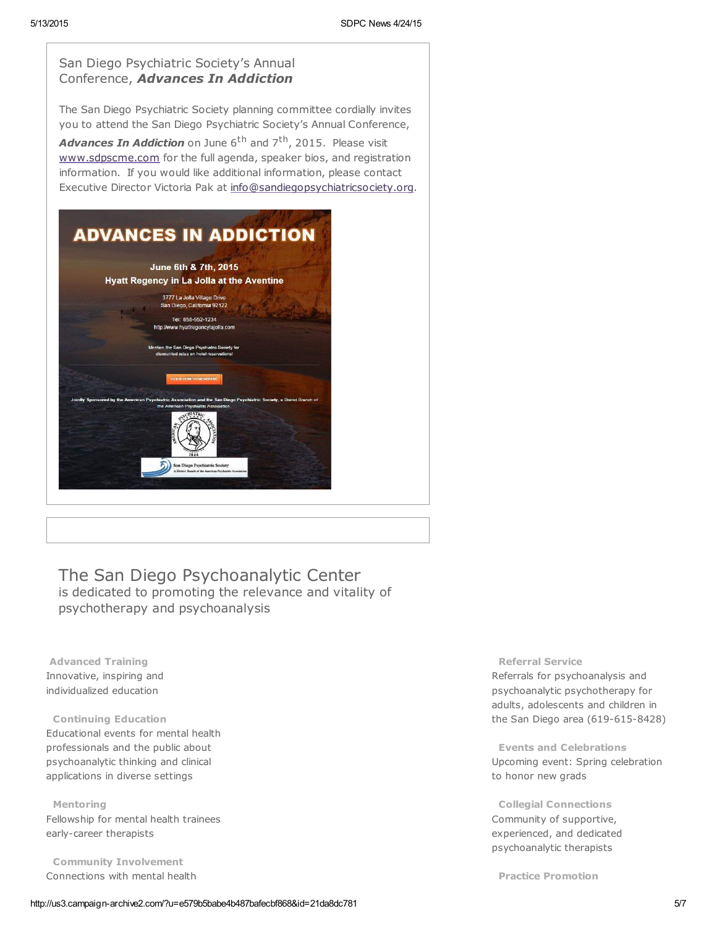

# The San Diego Psychoanalytic Center

is dedicated to promoting the relevance and vitality of psychotherapy and psychoanalysis

Advanced Training Innovative, inspiring and individualized education

#### Continuing Education

Educational events for mental health professionals and the public about psychoanalytic thinking and clinical applications in diverse settings

Mentoring

Fellowship for mental health trainees early-career therapists

Community Involvement Connections with mental health

#### Referral Service

Referrals for psychoanalysis and psychoanalytic psychotherapy for adults, adolescents and children in the San Diego area (619-615-8428)

Events and Celebrations Upcoming event: Spring celebration to honor new grads

Collegial Connections Community of supportive, experienced, and dedicated psychoanalytic therapists

Practice Promotion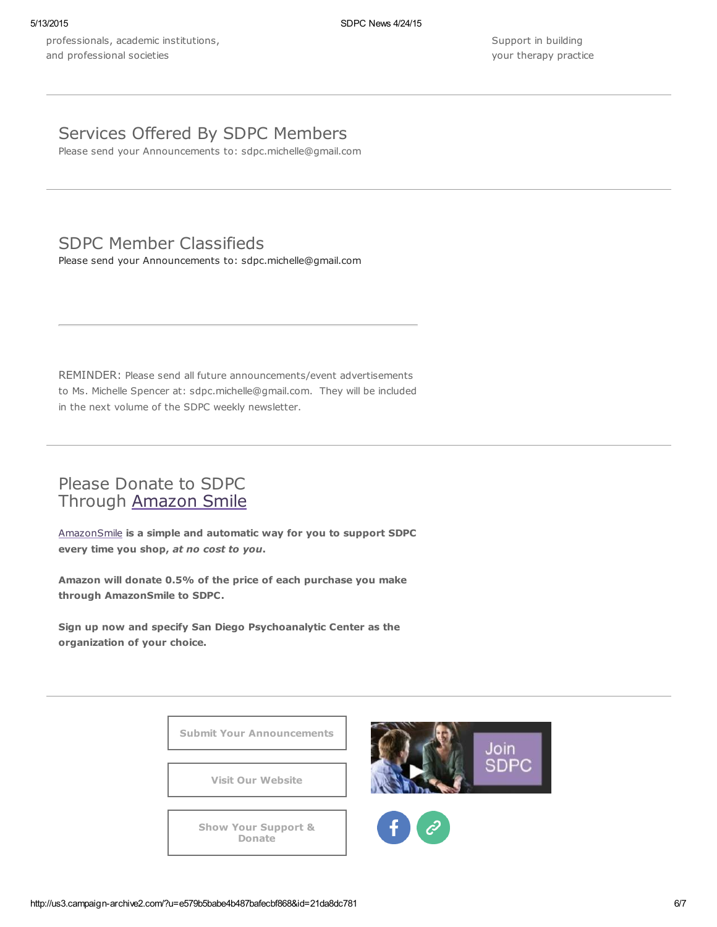professionals, academic institutions, and professional societies

Support in building your therapy practice

## Services Offered By SDPC Members

Please send your Announcements to: sdpc.michelle@gmail.com

# SDPC Member Classifieds

Please send your Announcements to: sdpc.michelle@gmail.com

REMINDER: Please send all future announcements/event advertisements to Ms. Michelle Spencer at: sdpc.michelle@gmail.com. They will be included in the next volume of the SDPC weekly newsletter.

## Please Donate to SDPC Through [Amazon](http://www.sdpsychoanalyticcenter.org/node/395#overlay-context=node/395) Smile

[AmazonSmile](http://smile.amazon.com/about) is a simple and automatic way for you to support SDPC every time you shop, at no cost to you.

Amazon will donate 0.5% of the price of each purchase you make through AmazonSmile to SDPC.

Sign up now and specify San Diego Psychoanalytic Center as the organization of your choice.